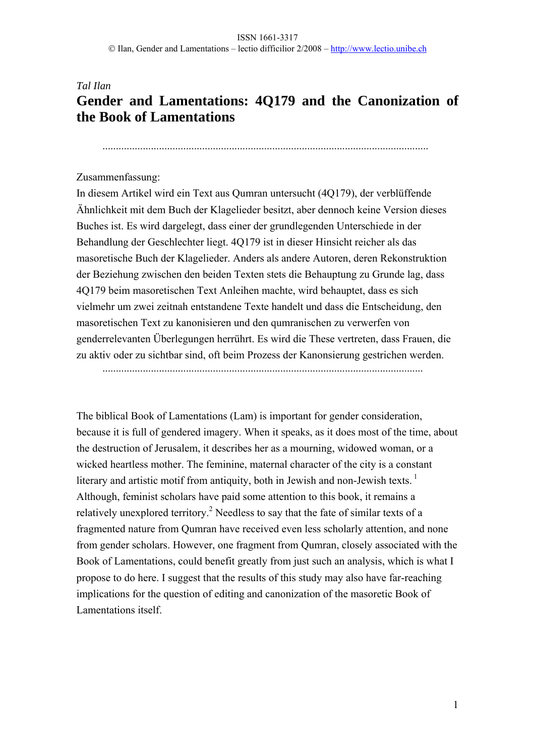# *Tal Ilan*  **Gender and Lamentations: 4Q179 and the Canonization of the Book of Lamentations**

.........................................................................................................................

### Zusammenfassung:

In diesem Artikel wird ein Text aus Qumran untersucht (4Q179), der verblüffende Ähnlichkeit mit dem Buch der Klagelieder besitzt, aber dennoch keine Version dieses Buches ist. Es wird dargelegt, dass einer der grundlegenden Unterschiede in der Behandlung der Geschlechter liegt. 4Q179 ist in dieser Hinsicht reicher als das masoretische Buch der Klagelieder. Anders als andere Autoren, deren Rekonstruktion der Beziehung zwischen den beiden Texten stets die Behauptung zu Grunde lag, dass 4Q179 beim masoretischen Text Anleihen machte, wird behauptet, dass es sich vielmehr um zwei zeitnah entstandene Texte handelt und dass die Entscheidung, den masoretischen Text zu kanonisieren und den qumranischen zu verwerfen von genderrelevanten Überlegungen herrührt. Es wird die These vertreten, dass Frauen, die zu aktiv oder zu sichtbar sind, oft beim Prozess der Kanonsierung gestrichen werden.

The biblical Book of Lamentations (Lam) is important for gender consideration, because it is full of gendered imagery. When it speaks, as it does most of the time, about the destruction of Jerusalem, it describes her as a mourning, widowed woman, or a wicked heartless mother. The feminine, maternal character of the city is a constant literary and artistic motif from antiquity, both in Jewish and non-Jewish texts.<sup>1</sup> Although, feminist scholars have paid some attention to this book, it remains a relatively unexplored territory.<sup>2</sup> Needless to say that the fate of similar texts of a fragmented nature from Qumran have received even less scholarly attention, and none from gender scholars. However, one fragment from Qumran, closely associated with the Book of Lamentations, could benefit greatly from just such an analysis, which is what I propose to do here. I suggest that the results of this study may also have far-reaching implications for the question of editing and canonization of the masoretic Book of Lamentations itself.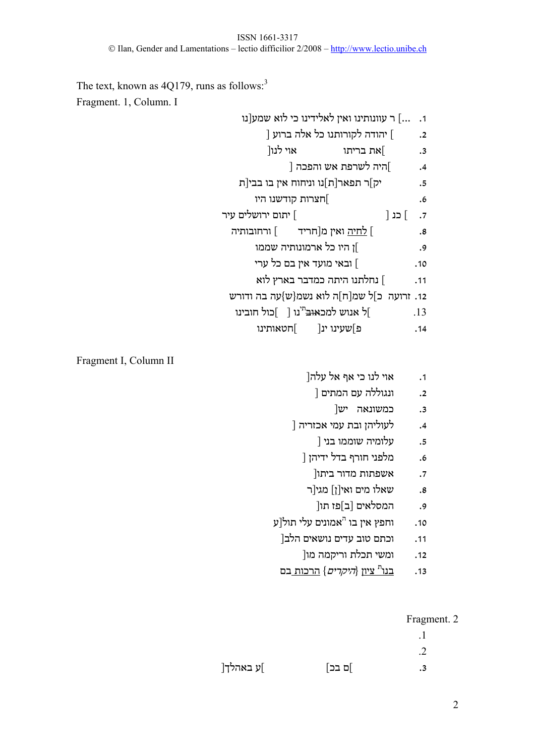The text, known as  $4Q179$ , runs as follows:<sup>3</sup> Fragment. 1, Column. I

.1 ...] ר עוונותינו ואין לאלידינו כי לוא שמע[נו

- .2 ] יהודה לקורותנו כל אלה ברוע [
- .3 ]את בריתו אוי לנו[ .4 ]היה לשרפת אש והפכה [
- .5 יק]ר תפאר[ת]נו וניחוח אין בו בבי[ת
	- .6 ]חצרות קודשנו היו
- .7 ] כנ [ ] יתום ירושלים עיר
	- .8 ] לחיה ואין מ[חריד ] ורחובותיה
		- .9 ]ן היו כל ארמונותיה שממו
		- .10 ] ובאי מועד אין בם כל ערי
		- .11 ] נחלתנו היתה כמדבר בארץ לוא
	- .12 זרועה כ]ל שמ[ח]ה לוא נשמ{ש}עה בה ודורש
	- נו [ ]כול חובינו תי .13 ]ל אנוש למכאוב
		- .14 פ]שעינו ינ[ ]חטאותינו

Fragment I, Column II

- .1 אוי לנו כי אף אל עלה[
	- .2 ונגוללה עם המתים [
		- .3 כמשונאה יש[
- .4 לעוליהן ובת עמי אכזריה [
	- .5 עלומיה שוממו בני [
	- .6 מלפני חורף בדל ידיהן [
		- .7 אשפתות מדור ביתו[
	- .8 שאלו מים ואי[ן] מגי[ר
		- .9 המסלאים [ב]פז תו[
- אמונים עלי תול[ע <sup>ה</sup> .10 וחפץ אין בו
	- .11 וכתם טוב עדים נושאים הלב[
		- .12 ומשי תכלת וריקמה מו[
	- ציון {היקרים} הרכות בם <sup>ת</sup> .13 בנו

## Fragment. 2

- .1 .2
- .3 ]ם בכ] ]ע באהלך[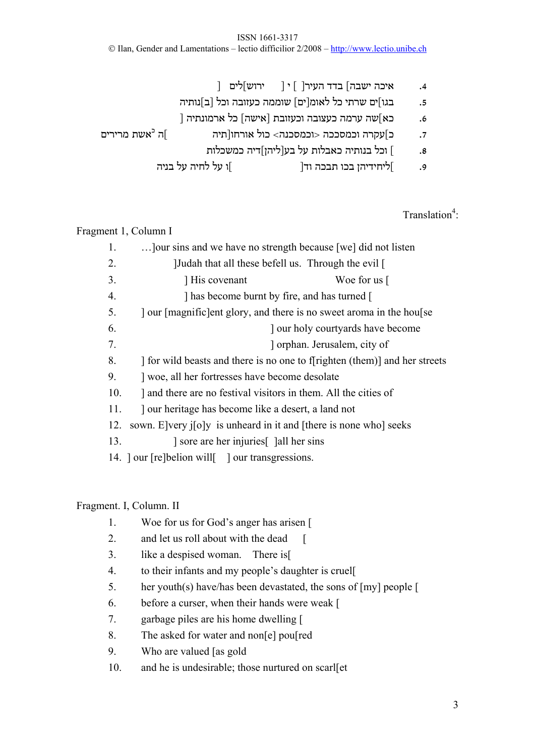ISSN 1661-3317 © Ilan, Gender and Lamentations – lectio difficilior 2/2008 – http://www.lectio.unibe.ch

.4 איכה ישבה] בדד העיר[ ] י [ ירוש]לים [ .5 בגו]ים שרתי כל לאומ[ים] שוממה כעזובה וכל [ב]נותיה .6 כא]שה ערמה כעצובה וכעזובת [אישה] כל ארמונתיה [ אשת מרירים <sup>כ</sup> .7 כ]עקרה וכמסככה <וכמסכנה> כול אורחו[תיה ]ה .8 ] וכל בנותיה כאבלות על בע[ליהן]דיה כמשכלות

.9 ]ליחידיהן בכו תבכה וד[ ]ו על לחיה על בניה

Translation<sup>4</sup>:

Fragment 1, Column I

| 1.  | Jour sins and we have no strength because [we] did not listen              |  |  |
|-----|----------------------------------------------------------------------------|--|--|
| 2.  | [Judah that all these befell us. Through the evil]                         |  |  |
| 3.  | His covenant<br>Woe for us $\lceil$                                        |  |  |
| 4.  | ] has become burnt by fire, and has turned [                               |  |  |
| 5.  | our [magnific] ent glory, and there is no sweet aroma in the house         |  |  |
| 6.  | our holy courty and have become                                            |  |  |
| 7.  | orphan. Jerusalem, city of                                                 |  |  |
| 8.  | If or wild beasts and there is no one to f[righten (them)] and her streets |  |  |
| 9.  | woe, all her fortresses have become desolate                               |  |  |
| 10. | and there are no festival visitors in them. All the cities of              |  |  |
| 11. | ] our heritage has become like a desert, a land not                        |  |  |
| 12. | sown. E very joly is unheard in it and [there is none who] seeks           |  |  |
| 13. | sore are her injuries [comparent later single                              |  |  |
|     | 14. ] our [re]belion will[ ] our transgressions.                           |  |  |

## Fragment. I, Column. II

- 1. Woe for us for God's anger has arisen [
- 2. and let us roll about with the dead [
- 3. like a despised woman. There is[
- 4. to their infants and my people's daughter is cruel[
- 5. her youth(s) have/has been devastated, the sons of [my] people [
- 6. before a curser, when their hands were weak [
- 7. garbage piles are his home dwelling [
- 8. The asked for water and non[e] pou[red
- 9. Who are valued [as gold
- 10. and he is undesirable; those nurtured on scarl[et]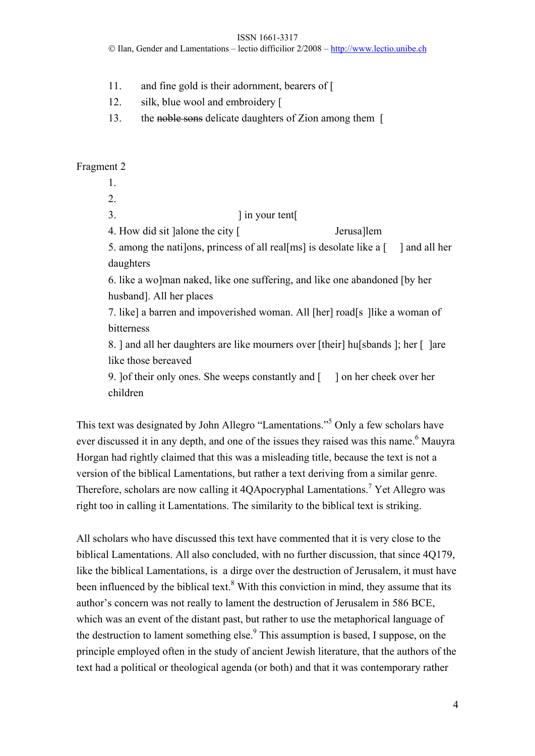ISSN 1661-3317

© Ilan, Gender and Lamentations – lectio difficilior 2/2008 – http://www.lectio.unibe.ch

- 11. and fine gold is their adornment, bearers of [
- 12. silk, blue wool and embroidery [
- 13. the noble sons delicate daughters of Zion among them [

## Fragment 2

- 1.
- 2.
- 3. ] in your tent[

4. How did sit ]alone the city [ Jerusa]lem

5. among the nati]ons, princess of all real[ms] is desolate like a [ ] and all her daughters

6. like a wo]man naked, like one suffering, and like one abandoned [by her husband]. All her places

7. like] a barren and impoverished woman. All [her] road[s ]like a woman of bitterness

8. ] and all her daughters are like mourners over [their] hu[sbands ]; her [ ]are like those bereaved

9. ]of their only ones. She weeps constantly and [ ] on her cheek over her children

This text was designated by John Allegro "Lamentations."<sup>5</sup> Only a few scholars have ever discussed it in any depth, and one of the issues they raised was this name.<sup>6</sup> Mauyra Horgan had rightly claimed that this was a misleading title, because the text is not a version of the biblical Lamentations, but rather a text deriving from a similar genre. Therefore, scholars are now calling it 4QApocryphal Lamentations.<sup>7</sup> Yet Allegro was right too in calling it Lamentations. The similarity to the biblical text is striking.

All scholars who have discussed this text have commented that it is very close to the biblical Lamentations. All also concluded, with no further discussion, that since 4Q179, like the biblical Lamentations, is a dirge over the destruction of Jerusalem, it must have been influenced by the biblical text.<sup>8</sup> With this conviction in mind, they assume that its author's concern was not really to lament the destruction of Jerusalem in 586 BCE, which was an event of the distant past, but rather to use the metaphorical language of the destruction to lament something else. $9$  This assumption is based, I suppose, on the principle employed often in the study of ancient Jewish literature, that the authors of the text had a political or theological agenda (or both) and that it was contemporary rather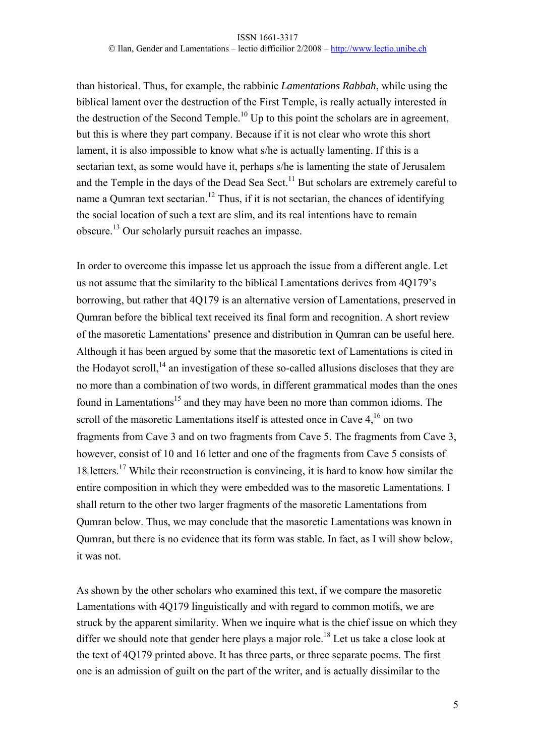than historical. Thus, for example, the rabbinic *Lamentations Rabbah*, while using the biblical lament over the destruction of the First Temple, is really actually interested in the destruction of the Second Temple.<sup>10</sup> Up to this point the scholars are in agreement, but this is where they part company. Because if it is not clear who wrote this short lament, it is also impossible to know what s/he is actually lamenting. If this is a sectarian text, as some would have it, perhaps s/he is lamenting the state of Jerusalem and the Temple in the days of the Dead Sea Sect.<sup>11</sup> But scholars are extremely careful to name a Qumran text sectarian.<sup>12</sup> Thus, if it is not sectarian, the chances of identifying the social location of such a text are slim, and its real intentions have to remain obscure.13 Our scholarly pursuit reaches an impasse.

In order to overcome this impasse let us approach the issue from a different angle. Let us not assume that the similarity to the biblical Lamentations derives from 4Q179's borrowing, but rather that 4Q179 is an alternative version of Lamentations, preserved in Qumran before the biblical text received its final form and recognition. A short review of the masoretic Lamentations' presence and distribution in Qumran can be useful here. Although it has been argued by some that the masoretic text of Lamentations is cited in the Hodayot scroll, $^{14}$  an investigation of these so-called allusions discloses that they are no more than a combination of two words, in different grammatical modes than the ones found in Lamentations<sup>15</sup> and they may have been no more than common idioms. The scroll of the masoretic Lamentations itself is attested once in Cave 4,<sup>16</sup> on two fragments from Cave 3 and on two fragments from Cave 5. The fragments from Cave 3, however, consist of 10 and 16 letter and one of the fragments from Cave 5 consists of 18 letters.17 While their reconstruction is convincing, it is hard to know how similar the entire composition in which they were embedded was to the masoretic Lamentations. I shall return to the other two larger fragments of the masoretic Lamentations from Qumran below. Thus, we may conclude that the masoretic Lamentations was known in Qumran, but there is no evidence that its form was stable. In fact, as I will show below, it was not.

As shown by the other scholars who examined this text, if we compare the masoretic Lamentations with 4Q179 linguistically and with regard to common motifs, we are struck by the apparent similarity. When we inquire what is the chief issue on which they differ we should note that gender here plays a major role.<sup>18</sup> Let us take a close look at the text of 4Q179 printed above. It has three parts, or three separate poems. The first one is an admission of guilt on the part of the writer, and is actually dissimilar to the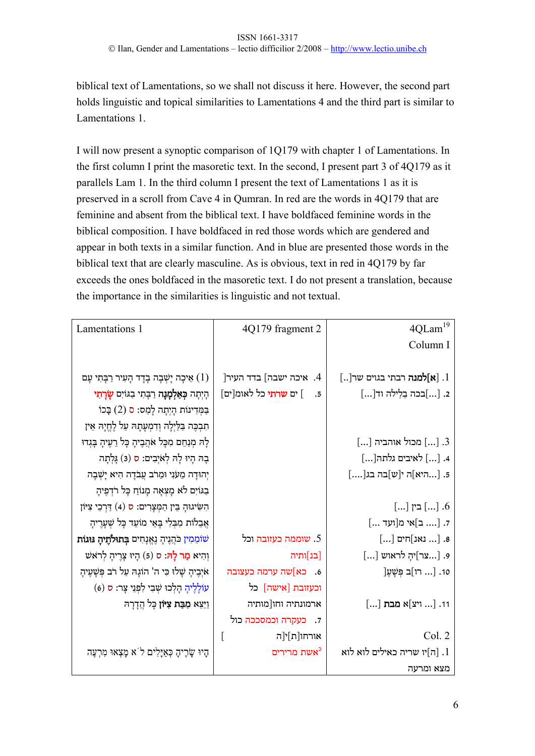biblical text of Lamentations, so we shall not discuss it here. However, the second part holds linguistic and topical similarities to Lamentations 4 and the third part is similar to Lamentations 1.

I will now present a synoptic comparison of 1Q179 with chapter 1 of Lamentations. In the first column I print the masoretic text. In the second, I present part 3 of 4Q179 as it parallels Lam 1. In the third column I present the text of Lamentations 1 as it is preserved in a scroll from Cave 4 in Qumran. In red are the words in 4Q179 that are feminine and absent from the biblical text. I have boldfaced feminine words in the biblical composition. I have boldfaced in red those words which are gendered and appear in both texts in a similar function. And in blue are presented those words in the biblical text that are clearly masculine. As is obvious, text in red in 4Q179 by far exceeds the ones boldfaced in the masoretic text. I do not present a translation, because the importance in the similarities is linguistic and not textual.

| Lamentations 1                                                    | 4Q179 fragment 2                   | $4 \mbox{QLam}^{19}$                             |
|-------------------------------------------------------------------|------------------------------------|--------------------------------------------------|
|                                                                   |                                    | Column I                                         |
|                                                                   |                                    |                                                  |
| אַיכָה יָשְׁבָה בְדָד הָעִיר רַבְּתִי עָם $(1)$                   | 4. איכה ישבה] בדד העיר[            | [ [ <b>א]למנה</b> רבתי בגוים שר[]                |
| הְיְתָה <b>בְאַלְמָנָה</b> רַבְּתִי בַגּוֹיִם <b>שָׂרָתִי</b>     | ] ים <b>שרתי</b> כל לאומ[ים]<br>.5 | 2. []בכה בַלַילה וד[]                            |
| בַּמְּדִינוֹת הָיְתָה לָמַס: ס (2) בָּכוֹ                         |                                    |                                                  |
| תִבְכֶּה בַּלַיְלָה וְדִמְעָתָהּ עַל לֶחֱיָהּ אֵין                |                                    |                                                  |
| לְהּ מְנַחֵם מִכְּל אֹהֲבֶיהָ כָּל רֵעֶיהָ בְּגְדוּ               |                                    | $\left[ \right]$ מכול אוהביה $\left[ \right]$ .3 |
| בָה הְיוּ לָה לְאֹיְבִים: ס (3) גָּלְתָה                          |                                    | 4. [] לאיבים גלתה[]                              |
| יְהוּדָה מֵעֹנִי וּמֵרֹב עֲבֹדָה הִיא יָשְׁבָה                    |                                    | 5. [היא]ה י[ש]בה בג[]                            |
| בַגּוֹיִם לֹא מָצְאָה מָנוֹחַ כְּל רֹדְפֶיהָ                      |                                    |                                                  |
| הִשִּׂיֹגוּהָ בֵּין הַמְּצָרִים: ס (4) דַּרְכֵי צִיּוֹן           |                                    | $[]$ בין $[]$ ]                                  |
| אֲבֵלוֹת מִבְּלִי בְּאֵי מוֹעֵד כְּל שְׁעָרֶיהָ                   |                                    | 7. [ ב]אי מ[ועד ]                                |
| שֹוֹמֵמִין כֹּהֲנֶיהָ נֶאֱנָחִים <b>בְּתוּלֹתֶיהָ נּוּגוֹת</b>    | 5. שוממה כעזובה וכל                | $\left[\right]$ וים $\left[\right]$ חים] א       |
| וְהִיא <b>מֵר לָהּ:</b> ס (5) הָיוּ צְרֶיהָ לְרֹא <sub>ּ</sub> שׁ | [בנ]ותיה                           | $\left[\right]$ וויהָ לראוש:] פ.                 |
| אֹיְבֶיהָ שָׁלוּ כִּי ה' הוֹגָהּ עַל רֹב פְּשָׁעֶיהָ              | 6. כא]שה ערמה כעצובה               | 10. [ רו]ב פְּשָׁעֶ                              |
| עוֹלְלֶיהָ הָלְכוּ שְׁבִי לִפְנֵי צְר: ס (6)                      | וכעזובת [אישה] כל                  |                                                  |
| וַיֵּצֵא <b>מִבַּת צִיּוֹן</b> כְּל הֲדָרָהּ                      | ארמונתיה וחו[מותיה                 | 11. [ ויצ]א <b>מבת</b> []                        |
|                                                                   | 7. כעקרה וכמסככה כול               |                                                  |
|                                                                   | $\Gamma$<br>אורחו[ת]י[ה            | Col. 2                                           |
| הָיוּ שָׂרֶיהָ כְּאַיָּלִים ל`א מָצְאוּ מִרְעֶה                   | <sup>כ</sup> אשת מרירים            | ה]יו שריה כאילים לוא לוא $1$                     |
|                                                                   |                                    | מצא ומרעה                                        |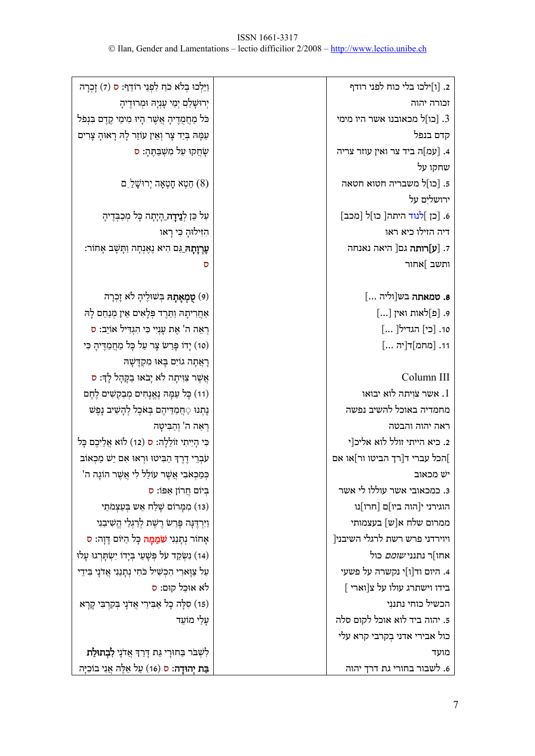| וַיֵּלְכוּ בְלֹא כֹחַ לִפְנֵי רוֹדֵף: ס (7) זָכְרָה        | 2. [ו]ילכו בלי כוח לפני רודף            |
|------------------------------------------------------------|-----------------------------------------|
| יְרוּשָׁלַם יְמֵי עָנְיָהּ וּמְרוּדֶיהָ                    | זכורה יהוה                              |
| כֹּל מַחֲמֻדָיהָ אֲשֶׁר הָיוּ מִימֵי קֶדֶם בִּנְפֹּל       | תו<br>מכאובנו אשר היו מימי [כו] $\,$ .3 |
| עַמָּהּ בְּיַד צָר וְאֵין עוֹזֵר לְהּ רָאוּהָ צָרִים       | קדם בנפל                                |
| שָׂחֲקוּ עַל מִשְׁבַּתֶּהָ: ס                              | 4. [עמ]ה ביד צר ואין עוזר צריה          |
|                                                            | שחקו על                                 |
| ַחֲטְא חָטְאָה יְרוּשָׁלַ ם (8)                            | 5. [כו]ל משבריה חטוא חטאה               |
|                                                            | ירושלים על                              |
| עַל כֵּן לְ <b>נַיִדָה</b> הָיָתָה כָּל מְכַבְּדֶיהָ       | 6. [כן ]לנוד היתה[ כו]ל [מכב]           |
| הִזִּילוּהָ כִּי רָאו                                      | דיה הזילו כיא ראו                       |
| <b>עֶרְוָתָה</b> גַּם הִיא נֶאֶנְחָה וַתְּשָׁב אָחוֹר:     | 7. [ <b>ע]רותה</b> גם[ היאה נאנחה       |
| ס                                                          | ותשב ]אחור                              |
|                                                            |                                         |
| (9) <b>טָמְאָתָה</b> ּ בְּשׁוּלֶיהָ לֹא זָכְרָה            | 8. טמאתה בש[וליה ]                      |
| אַחֲרִיתָהּ וַתֵּרֶד פְּלָאִים אֵין מְנַחֵם לָהּ           | 9. [פ]לאות ואין []                      |
| רְאֵה ה' אֶת עָנְיִי כִּי הִגְדִּיל אוֹיֵב: ס              | 10. [כי] הגדיל[ ]                       |
| (10) יְדוֹ פְּרַשׂ צְר עַל כְּל מַחֲמַדֶּיהָ כִּי          | 11. [מחמ]ד[יה ]                         |
| ּרְאֲתָה גוֹיִם בְּאוּ מִקְדָשָׁהּ                         |                                         |
| אֲשֶׁר צִוִּיתָה לֹא יָבֹאוּ בַקְּהָל לְךָ: ס              | Column III                              |
| (11) כְּל עַמָּהּ נֶאֱנָחִים מְבַקְשִׁים לֶחֶם             | שר צויתה לוא יבואו. $1$                 |
| נְתְנוּ ַחֲמַדֵּיהֶם בְּאֹכֶל לְהָשִׁיב נָפֶשׁ             | מחמדיה באוכל להשיב נפשה                 |
| ּרְאֵה ה' וְהַבִּיטָה                                      | ראה יהוה והבטה                          |
| כִּי הְיִיתִי זוֹלֵלְה: ס (12) לוֹא אֲלֵיכֶם בְּל          | 2. כיא הייתי זולל לוא אליכ[י            |
| עֹבְרֵי דֶרֶךְ הַבִּיטוּ וּרְאוּ אִם יֵשׁ מַכְאוֹב         | הכל עברי ד[רך הביטו ור]או אם[           |
| 'בְּמַכְאֹבִי אֲשֶׁר עוֹלַל לִי אֲשֶׁר הוֹגָה ה            | יש מכאוב                                |
| בְּיוֹם חֲרוֹן אַפּוֹ: ס                                   | 3. כמכאובי אשר עוללו לי אשר             |
| (13) מִמְּרוֹם שָׁלַח אֵש בְּעַצְמֹתַי                     | הוגירני י[הוה ביו]ם [חרו]נו             |
| וַיִּרְדֶּנָּה פְּרַשׂ רֶשֶׁת לְרַגְלַי הֱשִׁיבַנִי        | ממרום שלח א[ש] בעצמותי                  |
| אָחוֹר נְתְנַנִי <b>שֹׁמֵמָה</b> כְּל הַיּוֹם דְּוָה: ס    | [ויוירדני פרש רשת לרגלי השיבני          |
| (14) נִשְׂקַד עֹל פְּשָׁעַי בְּיָדוֹ יִשְׂתָּרְגוּ עָלוּ   | אחו]ר נתנני <i>שומם</i> כול             |
| עַל צַוָּארִי הִכְשִׁיל כֹּחִי נְתָנַנִי אֲדֹנָי בִּידֵי   | 4. היום וד[ו]י נקשרה על פשעי            |
| לֹא אוּכַל קוּם: ס                                         | $\left[\right.$ בידו וישתרג עולו על צ   |
| (15) סִלְה כְל אַבִּירַי אֲדֹנָי בְּקִרְבִּי קָרָא         | הכשיל כוחי נתננִי                       |
| עָלַי מוֹעֵד                                               | 5. יהוה ביד לוא אוכל לקום סלה           |
|                                                            | כול אבירי אדני בְקרבי קרא עלי           |
| לִשְׁבֹר בַּחוּרְי גַּת דְּרַךְּ אֲדֹנָי <b>לִבְתוּלַת</b> | מועד                                    |
| <b>ּבַת יְהוּדָה:</b> ס (16) עַל אֵלֶּה אֲנִי בוֹכִיָּה    | 6. לשבור בחורי גת דרך יהוה              |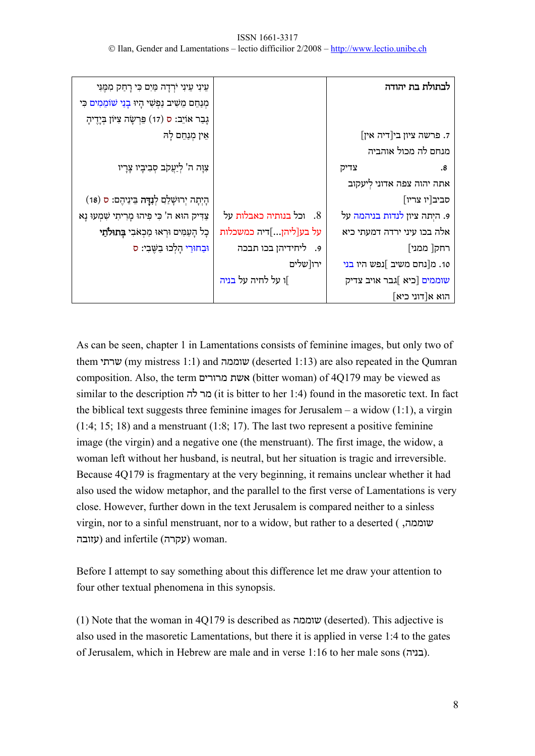| עֵינִי עֵינִי יֹרְדָה מַּיִם כִּי רָחַק מִמֶּנִּי       |                         | לבתולת בת יהודה                  |
|---------------------------------------------------------|-------------------------|----------------------------------|
| מְנַחֵם מֵשִׁיב נַפְשִׁי הָיוּ בְנַי שֹׁוֹמֵמִים כִּי   |                         |                                  |
| גָבַר אוֹיֵב: ס (17) פֵּרְשָׂה צִיּוֹן בְּיֶדֶיהָ       |                         |                                  |
| אֵין מְנַחֵם לָהּ                                       |                         | 7. פרשה ציון בי[דיה אין]         |
|                                                         |                         | מנחם לה מכול אוהביה              |
| צִוָּה ה' לְיַעֲקֹב סְבִיבָיו צָרָיו                    |                         | צדיק<br>.8                       |
|                                                         |                         | אתה יהוה צפה אדוני לְיעקוב       |
| הְיְתָה יְרוּשָׁלַם לְ <b>נִדָּה</b> בֵּינֵיהֶם: ס (18) |                         | סביב[יו צריו]                    |
| צַדִּיק הוּא ה' כִּי פִיהוּ מָרִיתִי שָׁמְעוּ נָא       | 8. וכל בנותיה כאבלות על | 9. היִתה ציון לנדות בניהמה על    |
| כְל הָעַמִּים וּרְאוּ מַכְאֹבִי <b>בְתוּלֹתֵי</b>       | על בע[ליהן]דיה כמשכלות  | אלה בכו עיני ירדה דמעתי כיא      |
| וּבַחוּרֵי הָלִכוּ בִשֵּׁבִי: ס                         | 9. ליחידיהן בכו תבכה    | רחק[ ממני]                       |
|                                                         | ירו[שלים                | 10. מ[נחם משיב ]נפש היו בני      |
|                                                         | ]ו על לחיה על בניה      | שוממים [כיא ]גבר אויב צדיק       |
|                                                         |                         | $\lceil$ הוא א $\lceil$ דוני כיא |

As can be seen, chapter 1 in Lamentations consists of feminine images, but only two of them שרתי) my mistress 1:1) and שוממה) deserted 1:13) are also repeated in the Qumran composition. Also, the term מרורים אשת) bitter woman) of 4Q179 may be viewed as similar to the description לה מר) it is bitter to her 1:4) found in the masoretic text. In fact the biblical text suggests three feminine images for Jerusalem – a widow  $(1:1)$ , a virgin (1:4; 15; 18) and a menstruant (1:8; 17). The last two represent a positive feminine image (the virgin) and a negative one (the menstruant). The first image, the widow, a woman left without her husband, is neutral, but her situation is tragic and irreversible. Because 4Q179 is fragmentary at the very beginning, it remains unclear whether it had also used the widow metaphor, and the parallel to the first verse of Lamentations is very close. However, further down in the text Jerusalem is compared neither to a sinless virgin, nor to a sinful menstruant, nor to a widow, but rather to a deserted ( ,שוממה עזובה (and infertile (עקרה (woman.

Before I attempt to say something about this difference let me draw your attention to four other textual phenomena in this synopsis.

(1) Note that the woman in 4Q179 is described as שוממה) deserted). This adjective is also used in the masoretic Lamentations, but there it is applied in verse 1:4 to the gates of Jerusalem, which in Hebrew are male and in verse 1:16 to her male sons (בניה).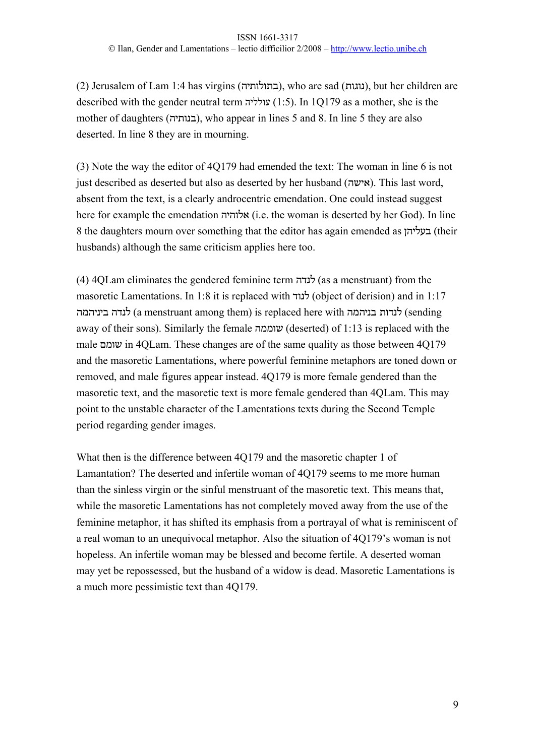(2) Jerusalem of Lam 1:4 has virgins (בתולותיה(, who are sad (נוגות(, but her children are described with the gender neutral term עולליה) 1:5(. In 1Q179 as a mother, she is the mother of daughters (בנותיה), who appear in lines 5 and 8. In line 5 they are also deserted. In line 8 they are in mourning.

(3) Note the way the editor of 4Q179 had emended the text: The woman in line 6 is not just described as deserted but also as deserted by her husband (אישה(. This last word, absent from the text, is a clearly androcentric emendation. One could instead suggest here for example the emendation אלוהיה) i.e. the woman is deserted by her God). In line 8 the daughters mourn over something that the editor has again emended as בעליהן) their husbands) although the same criticism applies here too.

(4) 4QLam eliminates the gendered feminine term לנדה) as a menstruant) from the masoretic Lamentations. In 1:8 it is replaced with לנוד) object of derision) and in 1:17 ביניהמה לנדה) a menstruant among them) is replaced here with בניהמה לנדות) sending away of their sons). Similarly the female שוממה) deserted) of 1:13 is replaced with the male שומם in 4QLam. These changes are of the same quality as those between 4Q179 and the masoretic Lamentations, where powerful feminine metaphors are toned down or removed, and male figures appear instead. 4Q179 is more female gendered than the masoretic text, and the masoretic text is more female gendered than 4QLam. This may point to the unstable character of the Lamentations texts during the Second Temple period regarding gender images.

What then is the difference between 4Q179 and the masoretic chapter 1 of Lamantation? The deserted and infertile woman of 4Q179 seems to me more human than the sinless virgin or the sinful menstruant of the masoretic text. This means that, while the masoretic Lamentations has not completely moved away from the use of the feminine metaphor, it has shifted its emphasis from a portrayal of what is reminiscent of a real woman to an unequivocal metaphor. Also the situation of 4Q179's woman is not hopeless. An infertile woman may be blessed and become fertile. A deserted woman may yet be repossessed, but the husband of a widow is dead. Masoretic Lamentations is a much more pessimistic text than 4Q179.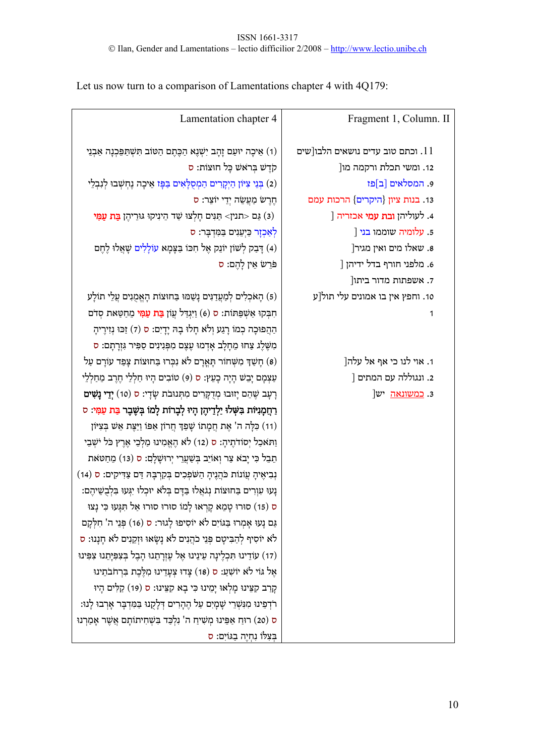| Lamentation chapter 4                                                                     | Fragment 1, Column. II               |
|-------------------------------------------------------------------------------------------|--------------------------------------|
| (1) אֵיכָה יוּעַם זָהָב יִשְׁנֶא הַכֶּתֶם הַטּוֹב תִּשְׁתַּפֵּכְנָה אַבְנֵי               | ו וכתם טוב עדים נושאים הלבו[שים $11$ |
| קֹדֶשׁ בְּרֹא <i>ּשׁ</i> כָּל חוּצּוֹת: ס                                                 | 12. ומשי תכלת ורקמה מו[              |
| (2) בְּנֵי צִיּּׂוֹן הַיְקָרִים הַמְסֻלָּאִים בַּפָּז אֵיכָה נֶחְשְׁבוּ לְנִבְלֵי         | 9. המסלאים [ב]פז                     |
| חֶרֶשׂ מַ <b>עֲשֵׂה יְדֵי יוֹצֵר: ס</b>                                                   | 13. בנות ציון {היקרים} הרכות עמם     |
| (3) גַּם <תנין> תַּגִּים חָלְצוּ שַׁד הֵינִיקוּ גּוּרֵיהֶן <b>בַּת עַמִּי</b>             | ] . לעוליהן <b>ובת עמי</b> אכזריה [  |
| לְאַכְזָר כַּיְעֵנִים בַּמִּדְבָּר: ס                                                     | 5. עלומיה שוממו בני [                |
| (4) דָּבַק לְשׁוֹן יוֹגֵק אֶל חִכּוֹ בַּצְמָא עוֹלָלִים שְׁאֲלוּ לֶחֶם                    | 8. שאלו מים ואין מגיר[               |
| פּׂרֵשׂ אֵין לְהֶם: ס                                                                     | 6. מלפני חורף בדל ידיהן [            |
|                                                                                           | 7. אשפתות מדור ביתו[                 |
| (5) הָאֹכְלִים לְמַעֲדַנִּים נָשַׁמוּ בַּחוּצוֹת הָאֱמֻנִים עֲלֵי תוֹלָע                  | 10. וחפץ אין בו אמונים עלי תול[ע     |
| חִבְּקוּ אַשְׁפַּתּוֹת: ס (6) וַיִּגְדַיל עֲוֹן <b>בַּת עַמְּי</b> מֵחַטַּאת סְדֹם        | 1                                    |
| הַהֲפוּכָה כְמוֹ רָגַע וְלֹא חָלוּ בְהּ יָדְיִם: ס (7) זַכּוּ נְזִירֶיהָ                  |                                      |
| מִשֶּׁלֶג צַחוּ מֵחָלָב אָדְמוּ עֶצֶם מִפְּנִינִים סַפִּיר גִּזְרָתָם: ס                  |                                      |
| (8) חָשַׁךְּ מִשְּׁחוֹר תְּאֲרָם לֹא נִכְּרוּ בַּחוּצוֹת צְפַד עוֹרָם עַל                 | 1. אוי לנו כי אף אל עלה[             |
| עַצְמָם יָבֵשׁ הָיָה כְעֵץ: ס (9) טוֹבִים הָיוּ חַלְלֵי חֶרֶב מֵחַלְלֵי                   | 2. ונגוללה עם המתים [                |
| רָעָב שֶׁהֵם יְזוּבוּ מְדֻקָּרִים מִתְּנוּבֹת שָׂדָי: ס (10) <b>יְדֵי נָשִׁים</b>         | 3. <u>כמשונאה</u> יש[                |
| רַחֲמְנִיּוֹת בִּשְּׁלוּ יַלְדֵיהֶן הָיוּ לְבָרוֹת לָמוֹ בְּשֶׁבֶר <b>בַּת עַמִּ</b> י: ס |                                      |
| (11) כִּלְּה ה' אֶת חֲמָתוֹ שָׁפַןּ חֲרוֹן אַפּוֹ וַיַּצֶּת אֵשׁ בְּצִיּוֹן               |                                      |
| וַתּאכַל יְסוֹדֹתֶיהָ: ס (12) לֹא הֶאֱמִינוּ מַלְּבֵי אֶרֶץ כֹּל יֹשְׁבֵי                 |                                      |
| תֵבֵל כִּי יָבא צַר וְאוֹיֵב בְּשַׁעֲרֵי יְרוּשָׁלָם: ס (13) מֵחַטּאת                     |                                      |
| נְבִיאֶיהָ עֲוֹנוֹת כֹּהֲנֶיהָ הַשֹּׁפְּכִים בְּקִרְבָּהּ דַּם צַדִּיקִים: ס (14)         |                                      |
| ַנְעוּ עִוְרִים בַּחוּצוֹת נְגֹאֲלוּ בַּדָּם בְּלֹא יוּכְלוּ יִגְּעוּ בִּלְבֻשֵׁיהֶם:     |                                      |
| ס (15) סוּרוּ טְמֵא קָרְאוּ לְמוֹ סוּרוּ סוּרוּ אַל תִּגְּעוּ כִּי נְצוּ                  |                                      |
| גַם נָעוּ אָמְרוּ בַּגּוֹיִם לֹא יוֹסִיפוּ לְגוּר: ס (16) פְּנֵי ה' חִלְקָם               |                                      |
| לֹא יוֹסִיף לְהַבִּיטָם פְּנֵי כֹהֲנִים לֹא נְשָׂאוּ וּזְקֵנִים לֹא חָנָנוּ: ס            |                                      |
| (17) עוֹדֵינוּ תִּכְלֶינָה עֵינֵינוּ אֶל עֶזְרָתֵנוּ הָבֶל בְּצִפִּיְתֵנוּ צִפִּינוּ      |                                      |
| אֶל גּוֹי לֹא יוֹשָׁעַ: ס (18) צְדוּ צְעָדֵינוּ מִלֶּכֶת בִּרְחֹבֹתֵינוּ                  |                                      |
| קְרַב קִצֵּינוּ מְלְאוּ יְמֵינוּ כִּי בָא קִצֵּינוּ: ס (19) קַלִּים הָיוּ                 |                                      |
| ּרֹדְפֵינוּ מִגִּשְּׁרֵי שָׁמָיִם עַל הֶהָרִים דְּלָקֻנוּ בַּמִּדְבָּר אָרְבוּ לְנוּ:     |                                      |
| ּס (20) רוּחַ אַפֵּינוּ מְשִׁיחַ ה' גִלְכַּד בִּשְׁחִיתוֹתָם אֲשֶׁר אָמַרְנוּ             |                                      |
| בִּצְלוֹ נִחְיֶה בַגּוֹיִם: ס                                                             |                                      |

Let us now turn to a comparison of Lamentations chapter 4 with 4Q179: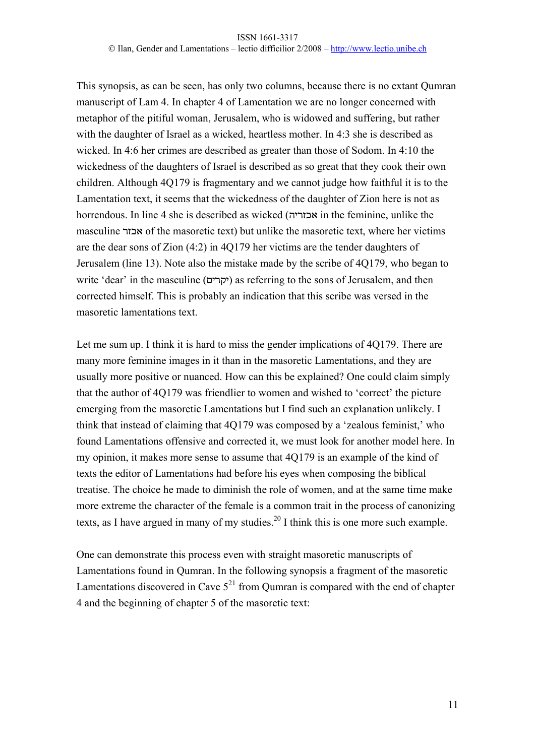This synopsis, as can be seen, has only two columns, because there is no extant Qumran manuscript of Lam 4. In chapter 4 of Lamentation we are no longer concerned with metaphor of the pitiful woman, Jerusalem, who is widowed and suffering, but rather with the daughter of Israel as a wicked, heartless mother. In 4:3 she is described as wicked. In 4:6 her crimes are described as greater than those of Sodom. In 4:10 the wickedness of the daughters of Israel is described as so great that they cook their own children. Although 4Q179 is fragmentary and we cannot judge how faithful it is to the Lamentation text, it seems that the wickedness of the daughter of Zion here is not as horrendous. In line 4 she is described as wicked (אכזריה in the feminine, unlike the masculine אכזר of the masoretic text) but unlike the masoretic text, where her victims are the dear sons of Zion (4:2) in 4Q179 her victims are the tender daughters of Jerusalem (line 13). Note also the mistake made by the scribe of 4Q179, who began to write 'dear' in the masculine (יקרים (as referring to the sons of Jerusalem, and then corrected himself. This is probably an indication that this scribe was versed in the masoretic lamentations text.

Let me sum up. I think it is hard to miss the gender implications of 4Q179. There are many more feminine images in it than in the masoretic Lamentations, and they are usually more positive or nuanced. How can this be explained? One could claim simply that the author of 4Q179 was friendlier to women and wished to 'correct' the picture emerging from the masoretic Lamentations but I find such an explanation unlikely. I think that instead of claiming that 4Q179 was composed by a 'zealous feminist,' who found Lamentations offensive and corrected it, we must look for another model here. In my opinion, it makes more sense to assume that 4Q179 is an example of the kind of texts the editor of Lamentations had before his eyes when composing the biblical treatise. The choice he made to diminish the role of women, and at the same time make more extreme the character of the female is a common trait in the process of canonizing texts, as I have argued in many of my studies.<sup>20</sup> I think this is one more such example.

One can demonstrate this process even with straight masoretic manuscripts of Lamentations found in Qumran. In the following synopsis a fragment of the masoretic Lamentations discovered in Cave  $5^{21}$  from Oumran is compared with the end of chapter 4 and the beginning of chapter 5 of the masoretic text: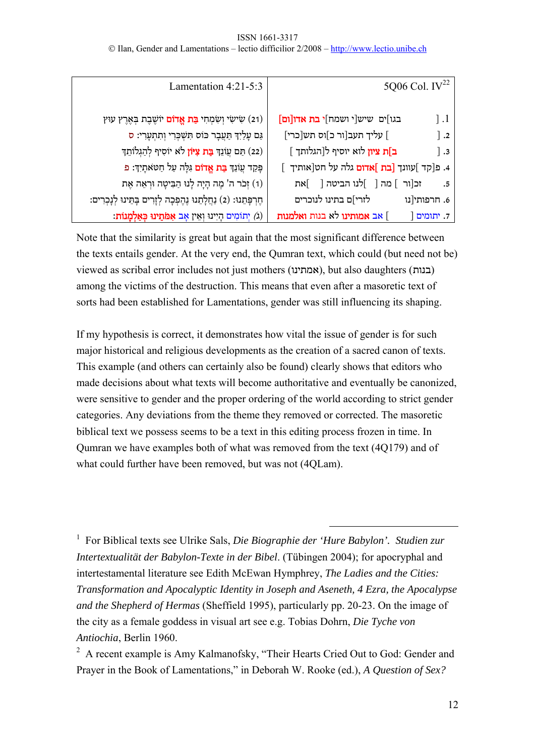### ISSN 1661-3317 © Ilan, Gender and Lamentations – lectio difficilior 2/2008 – http://www.lectio.unibe.ch

| 5Q06 Col. $IV^{22}$                                     | Lamentation $4:21-5:3$                                                   |
|---------------------------------------------------------|--------------------------------------------------------------------------|
| בגו]ים שיש[י ושמח] <b>י בת אדו[ום]</b><br>$\vert$ .1    | (21) שִׂישִׂי וְשִׂמְחִי <b>בַּת אֱדוֹם</b> יוֹשֶׁבֶת בְּאֶרֶץ עוּץ      |
| ] עליך תעב[ור כ]וס תש[כרי]<br>$\vert$ .2                | גַּם עָלַיְךָ תַּעֲבָר כּוֹס תִּשְׁכְּרִי וְתִתְעָרִי: ס                 |
| <b>ב]ת ציון</b> לוא יוסיף ל[הגלותך ]<br>$\vert$ .3      | ֹתַם עֲוֹנֵךְ <b>בַּת צִיּוֹן</b> לֹא יוֹסִיף לְהַגְלוֹתֵךְ (22)         |
| 4. פ[קד ]עוונך <b>[בת ]אדום</b> גלה על חט[אותיך ]       | פְּקַד עֲוֹנֵךְ <b>בַּת אֱדוֹם</b> גִּלֶּה עַל חַטאתָיִךָ: פ             |
| זכ[ור ] מה [ ]לנו הביטה [ ]את<br>$\cdot$ .5             | (1) זְכֹר ה' מֶה הָיָה לְנוּ הַבִּיטָה וּרְאֵה אֶת                       |
| לזרי]ם בתינו לנוכרים<br>6. חרפותי[נו                    | הֶרְפְּתֵנוּ: (2) נַחֲלָתֵנוּ נֶהֶפְּכָה לְזָרִים בְּתֵּינוּ לְנָכְרִים: |
| ] אב <b>אמותינו</b> לא בנות <b>ואלמנות</b><br>7. יתומים | (ג) יְתוֹמִים הְיִינוּ וְאֵין אָב <b>אִמֹּתֵינוּ כְּאַלְמְנוֹת:</b>      |

Note that the similarity is great but again that the most significant difference between the texts entails gender. At the very end, the Qumran text, which could (but need not be) viewed as scribal error includes not just mothers (אמתינו(, but also daughters (בנות ( among the victims of the destruction. This means that even after a masoretic text of sorts had been established for Lamentations, gender was still influencing its shaping.

If my hypothesis is correct, it demonstrates how vital the issue of gender is for such major historical and religious developments as the creation of a sacred canon of texts. This example (and others can certainly also be found) clearly shows that editors who made decisions about what texts will become authoritative and eventually be canonized, were sensitive to gender and the proper ordering of the world according to strict gender categories. Any deviations from the theme they removed or corrected. The masoretic biblical text we possess seems to be a text in this editing process frozen in time. In Qumran we have examples both of what was removed from the text (4Q179) and of what could further have been removed, but was not (4QLam).

 1 For Biblical texts see Ulrike Sals, *Die Biographie der 'Hure Babylon'. Studien zur Intertextualität der Babylon-Texte in der Bibel*. (Tübingen 2004); for apocryphal and intertestamental literature see Edith McEwan Hymphrey, *The Ladies and the Cities: Transformation and Apocalyptic Identity in Joseph and Aseneth, 4 Ezra, the Apocalypse and the Shepherd of Hermas* (Sheffield 1995), particularly pp. 20-23. On the image of the city as a female goddess in visual art see e.g. Tobias Dohrn, *Die Tyche von Antiochia*, Berlin 1960.

 $2$  A recent example is Amy Kalmanofsky, "Their Hearts Cried Out to God: Gender and Prayer in the Book of Lamentations," in Deborah W. Rooke (ed.), *A Question of Sex?*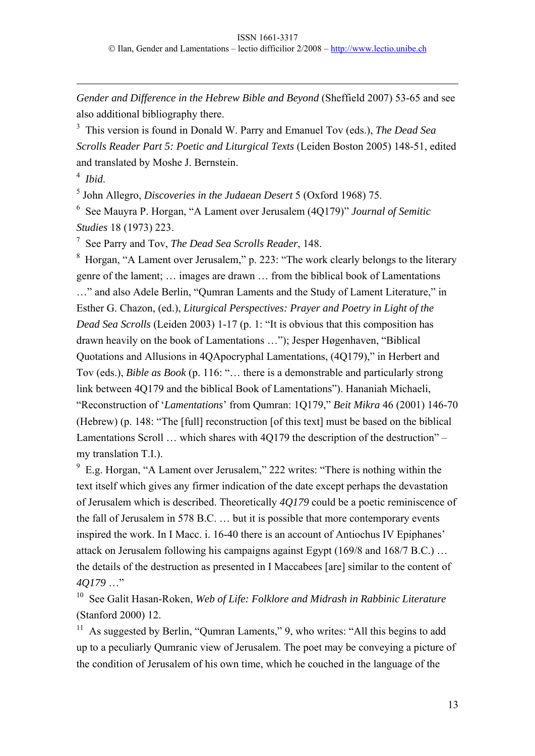*Gender and Difference in the Hebrew Bible and Beyond* (Sheffield 2007) 53-65 and see also additional bibliography there.

3 This version is found in Donald W. Parry and Emanuel Tov (eds.), *The Dead Sea Scrolls Reader Part 5: Poetic and Liturgical Texts* (Leiden Boston 2005) 148-51, edited and translated by Moshe J. Bernstein.

4 *Ibid*.

1

5 John Allegro, *Discoveries in the Judaean Desert* 5 (Oxford 1968) 75.

6 See Mauyra P. Horgan, "A Lament over Jerusalem (4Q179)" *Journal of Semitic Studies* 18 (1973) 223.

7 See Parry and Tov, *The Dead Sea Scrolls Reader*, 148.

8 Horgan, "A Lament over Jerusalem," p. 223: "The work clearly belongs to the literary genre of the lament; … images are drawn … from the biblical book of Lamentations …" and also Adele Berlin, "Qumran Laments and the Study of Lament Literature," in Esther G. Chazon, (ed.), *Liturgical Perspectives: Prayer and Poetry in Light of the Dead Sea Scrolls* (Leiden 2003) 1-17 (p. 1: "It is obvious that this composition has drawn heavily on the book of Lamentations …"); Jesper Høgenhaven, "Biblical Quotations and Allusions in 4QApocryphal Lamentations, (4Q179)," in Herbert and Tov (eds.), *Bible as Book* (p. 116: "… there is a demonstrable and particularly strong link between 4Q179 and the biblical Book of Lamentations"). Hananiah Michaeli, "Reconstruction of '*Lamentations*' from Qumran: 1Q179," *Beit Mikra* 46 (2001) 146-70 (Hebrew) (p. 148: "The [full] reconstruction [of this text] must be based on the biblical Lamentations Scroll … which shares with 4Q179 the description of the destruction" – my translation T.I.).

<sup>9</sup> E.g. Horgan, "A Lament over Jerusalem," 222 writes: "There is nothing within the text itself which gives any firmer indication of the date except perhaps the devastation of Jerusalem which is described. Theoretically *4Q179* could be a poetic reminiscence of the fall of Jerusalem in 578 B.C. … but it is possible that more contemporary events inspired the work. In I Macc. i. 16-40 there is an account of Antiochus IV Epiphanes' attack on Jerusalem following his campaigns against Egypt (169/8 and 168/7 B.C.) … the details of the destruction as presented in I Maccabees [are] similar to the content of *4Q179* …"

10 See Galit Hasan-Roken, *Web of Life: Folklore and Midrash in Rabbinic Literature*  (Stanford 2000) 12.

<sup>11</sup> As suggested by Berlin, "Qumran Laments," 9, who writes: "All this begins to add up to a peculiarly Qumranic view of Jerusalem. The poet may be conveying a picture of the condition of Jerusalem of his own time, which he couched in the language of the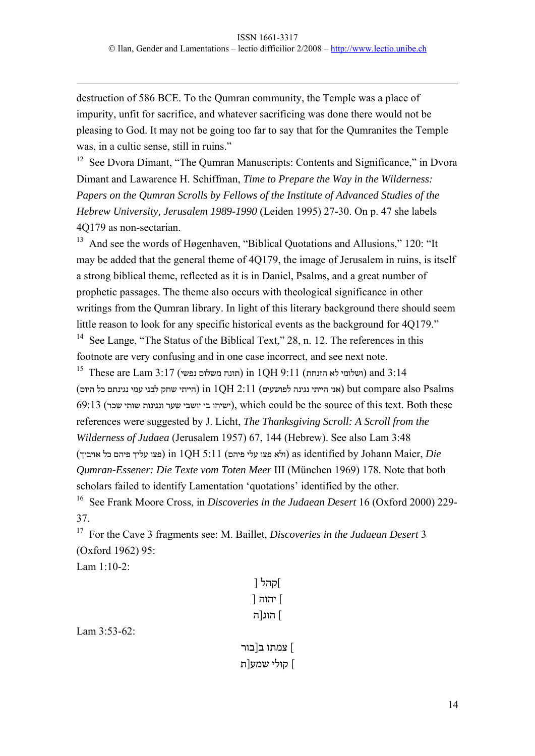destruction of 586 BCE. To the Qumran community, the Temple was a place of impurity, unfit for sacrifice, and whatever sacrificing was done there would not be pleasing to God. It may not be going too far to say that for the Qumranites the Temple was, in a cultic sense, still in ruins."

<sup>12</sup> See Dvora Dimant, "The Qumran Manuscripts: Contents and Significance," in Dvora Dimant and Lawarence H. Schiffman, *Time to Prepare the Way in the Wilderness: Papers on the Qumran Scrolls by Fellows of the Institute of Advanced Studies of the Hebrew University, Jerusalem 1989-1990* (Leiden 1995) 27-30. On p. 47 she labels 4Q179 as non-sectarian.

<sup>13</sup> And see the words of Høgenhaven, "Biblical Quotations and Allusions," 120: "It may be added that the general theme of 4Q179, the image of Jerusalem in ruins, is itself a strong biblical theme, reflected as it is in Daniel, Psalms, and a great number of prophetic passages. The theme also occurs with theological significance in other writings from the Qumran library. In light of this literary background there should seem little reason to look for any specific historical events as the background for 4Q179." <sup>14</sup> See Lange, "The Status of the Biblical Text," 28, n. 12. The references in this footnote are very confusing and in one case incorrect, and see next note.

 $^{15}$  These are Lam 3:17 (תזנח משלום נפשי) 11 m (תזנח משלום נפשי) 3:14 (שלומי לא הזנחת)  $P_{\rm{211}}$  (אני הייתי נגינה לפושעים)  $11$ 1  $2$  in  $10$ H  $2$  in  $1$  in  $1$  out compare also  $P_{\rm{21ms}}$ 69:13 (שכר שותי ונגינות שער יושבי בי ישיחו(, which could be the source of this text. Both these references were suggested by J. Licht, *The Thanksgiving Scroll: A Scroll from the Wilderness of Judaea* (Jerusalem 1957) 67, 144 (Hebrew). See also Lam 3:48 (<br/>r 2011 (ולא פצו עלי פיהם) 11 DH $5:11$  (ולא פצו עלי פ<br/>as identified by Johann Maier,  $Die$ *Qumran-Essener: Die Texte vom Toten Meer* III (München 1969) 178. Note that both scholars failed to identify Lamentation 'quotations' identified by the other. 16 See Frank Moore Cross, in *Discoveries in the Judaean Desert* 16 (Oxford 2000) 229-

37.

1

17 For the Cave 3 fragments see: M. Baillet, *Discoveries in the Judaean Desert* 3 (Oxford 1962) 95:

Lam 1:10-2:

| ]קהל [   |  |
|----------|--|
| ] יהוה [ |  |
| ∫ הוג[ה  |  |

Lam 3:53-62:

] צמתו ב[בור ] קולי שמע[ת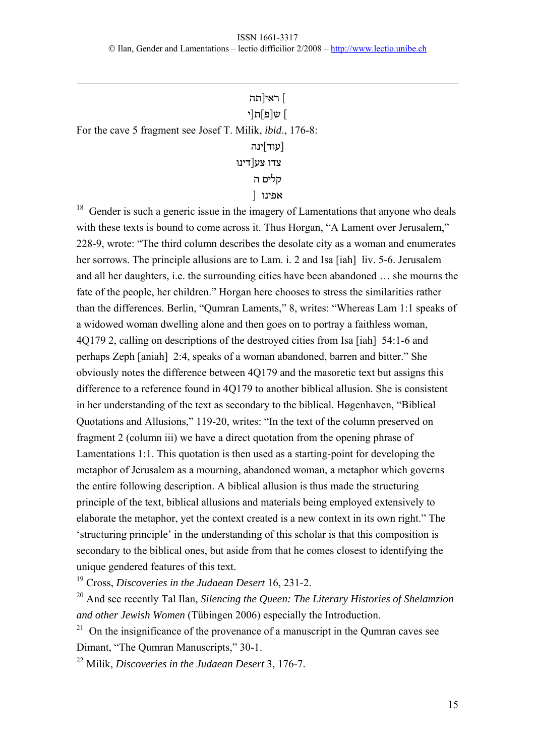] ראי[תה ] ש[פ]ת[י For the cave 5 fragment see Josef T. Milik, *ibid*., 176-8: [עוד]ינה צדו צע[דינו קלים ה אפינו [

1

 $18$  Gender is such a generic issue in the imagery of Lamentations that anyone who deals with these texts is bound to come across it. Thus Horgan, "A Lament over Jerusalem," 228-9, wrote: "The third column describes the desolate city as a woman and enumerates her sorrows. The principle allusions are to Lam. i. 2 and Isa [iah] liv. 5-6. Jerusalem and all her daughters, i.e. the surrounding cities have been abandoned … she mourns the fate of the people, her children." Horgan here chooses to stress the similarities rather than the differences. Berlin, "Qumran Laments," 8, writes: "Whereas Lam 1:1 speaks of a widowed woman dwelling alone and then goes on to portray a faithless woman, 4Q179 2, calling on descriptions of the destroyed cities from Isa [iah] 54:1-6 and perhaps Zeph [aniah] 2:4, speaks of a woman abandoned, barren and bitter." She obviously notes the difference between 4Q179 and the masoretic text but assigns this difference to a reference found in 4Q179 to another biblical allusion. She is consistent in her understanding of the text as secondary to the biblical. Høgenhaven, "Biblical Quotations and Allusions," 119-20, writes: "In the text of the column preserved on fragment 2 (column iii) we have a direct quotation from the opening phrase of Lamentations 1:1. This quotation is then used as a starting-point for developing the metaphor of Jerusalem as a mourning, abandoned woman, a metaphor which governs the entire following description. A biblical allusion is thus made the structuring principle of the text, biblical allusions and materials being employed extensively to elaborate the metaphor, yet the context created is a new context in its own right." The 'structuring principle' in the understanding of this scholar is that this composition is secondary to the biblical ones, but aside from that he comes closest to identifying the unique gendered features of this text.

19 Cross, *Discoveries in the Judaean Desert* 16, 231-2.

20 And see recently Tal Ilan, *Silencing the Queen: The Literary Histories of Shelamzion and other Jewish Women* (Tübingen 2006) especially the Introduction.

 $21$  On the insignificance of the provenance of a manuscript in the Qumran caves see Dimant, "The Qumran Manuscripts," 30-1.

22 Milik, *Discoveries in the Judaean Desert* 3, 176-7.